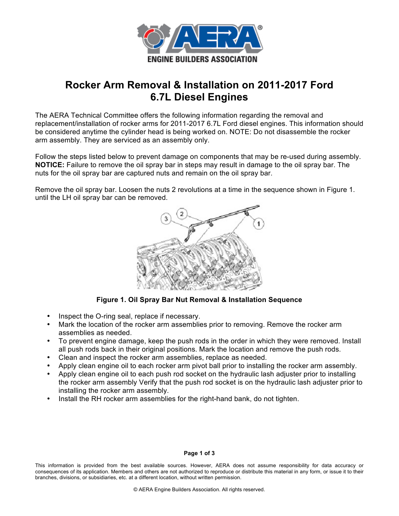

# **Rocker Arm Removal & Installation on 2011-2017 Ford 6.7L Diesel Engines**

The AERA Technical Committee offers the following information regarding the removal and replacement/installation of rocker arms for 2011-2017 6.7L Ford diesel engines. This information should be considered anytime the cylinder head is being worked on. NOTE: Do not disassemble the rocker arm assembly. They are serviced as an assembly only.

Follow the steps listed below to prevent damage on components that may be re-used during assembly. **NOTICE:** Failure to remove the oil spray bar in steps may result in damage to the oil spray bar. The nuts for the oil spray bar are captured nuts and remain on the oil spray bar.

Remove the oil spray bar. Loosen the nuts 2 revolutions at a time in the sequence shown in Figure 1. until the LH oil spray bar can be removed.



**Figure 1. Oil Spray Bar Nut Removal & Installation Sequence**

- Inspect the O-ring seal, replace if necessary.
- Mark the location of the rocker arm assemblies prior to removing. Remove the rocker arm assemblies as needed.
- To prevent engine damage, keep the push rods in the order in which they were removed. Install all push rods back in their original positions. Mark the location and remove the push rods.
- Clean and inspect the rocker arm assemblies, replace as needed.
- Apply clean engine oil to each rocker arm pivot ball prior to installing the rocker arm assembly.
- Apply clean engine oil to each push rod socket on the hydraulic lash adjuster prior to installing the rocker arm assembly Verify that the push rod socket is on the hydraulic lash adjuster prior to installing the rocker arm assembly.
- Install the RH rocker arm assemblies for the right-hand bank, do not tighten.

### **Page 1 of 3**

This information is provided from the best available sources. However, AERA does not assume responsibility for data accuracy or consequences of its application. Members and others are not authorized to reproduce or distribute this material in any form, or issue it to their branches, divisions, or subsidiaries, etc. at a different location, without written permission.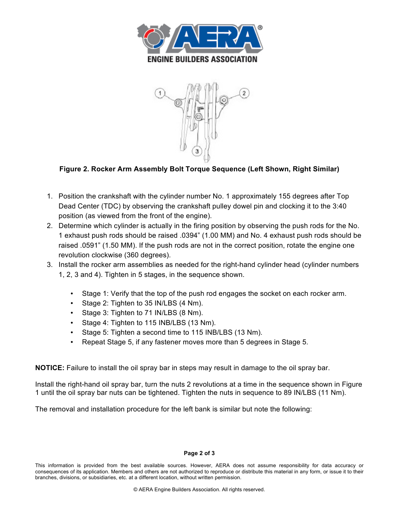



## **Figure 2. Rocker Arm Assembly Bolt Torque Sequence (Left Shown, Right Similar)**

- 1. Position the crankshaft with the cylinder number No. 1 approximately 155 degrees after Top Dead Center (TDC) by observing the crankshaft pulley dowel pin and clocking it to the 3:40 position (as viewed from the front of the engine).
- 2. Determine which cylinder is actually in the firing position by observing the push rods for the No. 1 exhaust push rods should be raised .0394" (1.00 MM) and No. 4 exhaust push rods should be raised .0591" (1.50 MM). If the push rods are not in the correct position, rotate the engine one revolution clockwise (360 degrees).
- 3. Install the rocker arm assemblies as needed for the right-hand cylinder head (cylinder numbers 1, 2, 3 and 4). Tighten in 5 stages, in the sequence shown.
	- Stage 1: Verify that the top of the push rod engages the socket on each rocker arm.
	- Stage 2: Tighten to 35 IN/LBS (4 Nm).
	- Stage 3: Tighten to 71 IN/LBS (8 Nm).
	- Stage 4: Tighten to 115 INB/LBS (13 Nm).
	- Stage 5: Tighten a second time to 115 INB/LBS (13 Nm).
	- Repeat Stage 5, if any fastener moves more than 5 degrees in Stage 5.

**NOTICE:** Failure to install the oil spray bar in steps may result in damage to the oil spray bar.

Install the right-hand oil spray bar, turn the nuts 2 revolutions at a time in the sequence shown in Figure 1 until the oil spray bar nuts can be tightened. Tighten the nuts in sequence to 89 IN/LBS (11 Nm).

The removal and installation procedure for the left bank is similar but note the following:

### **Page 2 of 3**

This information is provided from the best available sources. However, AERA does not assume responsibility for data accuracy or consequences of its application. Members and others are not authorized to reproduce or distribute this material in any form, or issue it to their branches, divisions, or subsidiaries, etc. at a different location, without written permission.